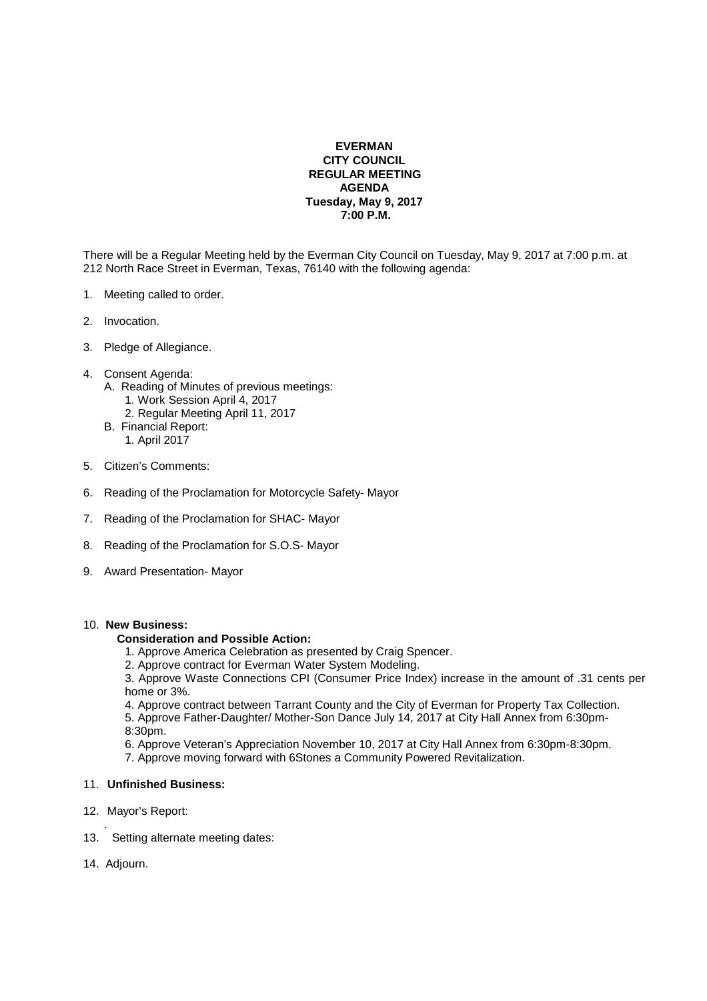## **EVERMAN CITY COUNCIL REGULAR MEETING AGENDA Tuesday, May 9, 2017 7:00 P.M.**

There will be a Regular Meeting held by the Everman City Council on Tuesday, May 9, 2017 at 7:00 p.m. at 212 North Race Street in Everman, Texas, 76140 with the following agenda:

- 1. Meeting called to order.
- 2. Invocation.
- 3. Pledge of Allegiance.
- 4. Consent Agenda:
	- A. Reading of Minutes of previous meetings:
		- 1. Work Session April 4, 2017
		- 2. Regular Meeting April 11, 2017
	- B. Financial Report: 1. April 2017
	-
- 5. Citizen's Comments:
- 6. Reading of the Proclamation for Motorcycle Safety- Mayor
- 7. Reading of the Proclamation for SHAC- Mayor
- 8. Reading of the Proclamation for S.O.S- Mayor
- 9. Award Presentation- Mayor

## 10. **New Business:**

## **Consideration and Possible Action:**

- 1. Approve America Celebration as presented by Craig Spencer.
- 2. Approve contract for Everman Water System Modeling.

 3. Approve Waste Connections CPI (Consumer Price Index) increase in the amount of .31 cents per home or 3%.

4. Approve contract between Tarrant County and the City of Everman for Property Tax Collection.

- 5. Approve Father-Daughter/ Mother-Son Dance July 14, 2017 at City Hall Annex from 6:30pm- 8:30pm.
- 6. Approve Veteran's Appreciation November 10, 2017 at City Hall Annex from 6:30pm-8:30pm.
- 7. Approve moving forward with 6Stones a Community Powered Revitalization.

## 11. **Unfinished Business:**

- 12. Mayor's Report:
- . 13. Setting alternate meeting dates:
- 14. Adjourn.